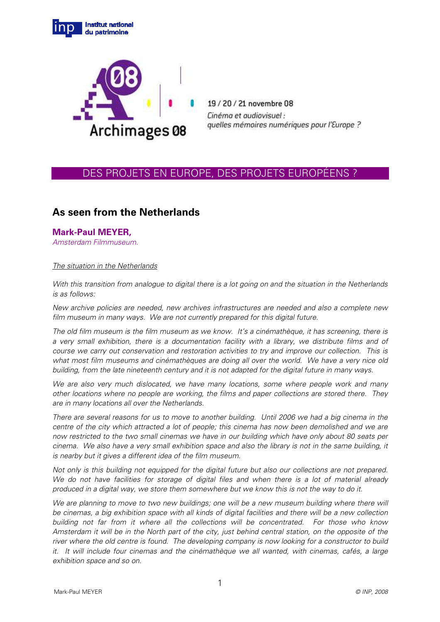



19/20/21 novembre 08 Cinéma et audiovisuel : quelles mémoires numériques pour l'Europe ?

## DES PROJETS EN EUROPE, DES PROJETS EUROPÉENS ?

# **As seen from the Netherlands**

## **Mark-Paul MEYER,**

Amsterdam Filmmuseum.

#### The situation in the Netherlands

With this transition from analogue to digital there is a lot going on and the situation in the Netherlands is as follows:

New archive policies are needed, new archives infrastructures are needed and also a complete new film museum in many ways. We are not currently prepared for this digital future.

The old film museum is the film museum as we know. It's a cinémathèque, it has screening, there is a very small exhibition, there is a documentation facility with a library, we distribute films and of course we carry out conservation and restoration activities to try and improve our collection. This is what most film museums and cinémathèques are doing all over the world. We have a very nice old building, from the late nineteenth century and it is not adapted for the digital future in many ways.

We are also very much dislocated, we have many locations, some where people work and many other locations where no people are working, the films and paper collections are stored there. They are in many locations all over the Netherlands.

There are several reasons for us to move to another building. Until 2006 we had a big cinema in the centre of the city which attracted a lot of people; this cinema has now been demolished and we are now restricted to the two small cinemas we have in our building which have only about 80 seats per cinema. We also have a very small exhibition space and also the library is not in the same building, it is nearby but it gives a different idea of the film museum.

Not only is this building not equipped for the digital future but also our collections are not prepared. We do not have facilities for storage of digital files and when there is a lot of material already produced in a digital way, we store them somewhere but we know this is not the way to do it.

We are planning to move to two new buildings; one will be a new museum building where there will be cinemas, a big exhibition space with all kinds of digital facilities and there will be a new collection building not far from it where all the collections will be concentrated. For those who know Amsterdam it will be in the North part of the city, just behind central station, on the opposite of the river where the old centre is found. The developing company is now looking for a constructor to build it. It will include four cinemas and the cinémathèque we all wanted, with cinemas, cafés, a large exhibition space and so on.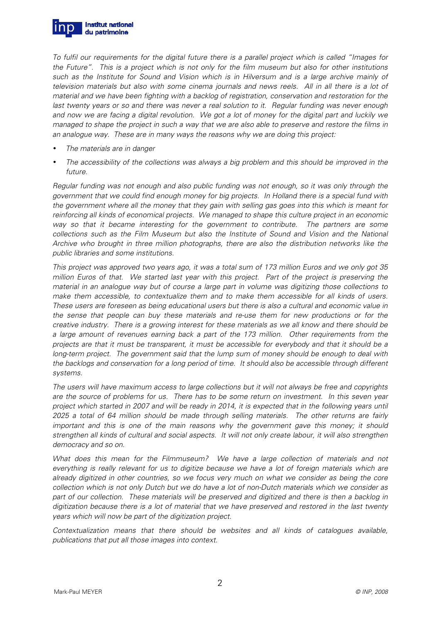

To fulfil our requirements for the digital future there is a parallel project which is called "Images for the Future". This is a project which is not only for the film museum but also for other institutions such as the Institute for Sound and Vision which is in Hilversum and is a large archive mainly of television materials but also with some cinema journals and news reels. All in all there is a lot of material and we have been fighting with a backlog of registration, conservation and restoration for the last twenty years or so and there was never a real solution to it. Regular funding was never enough and now we are facing a digital revolution. We got a lot of money for the digital part and luckily we managed to shape the project in such a way that we are also able to preserve and restore the films in an analogue way. These are in many ways the reasons why we are doing this project:

- The materials are in danger
- The accessibility of the collections was always a big problem and this should be improved in the future.

Regular funding was not enough and also public funding was not enough, so it was only through the government that we could find enough money for big projects. In Holland there is a special fund with the government where all the money that they gain with selling gas goes into this which is meant for reinforcing all kinds of economical projects. We managed to shape this culture project in an economic way so that it became interesting for the government to contribute. The partners are some collections such as the Film Museum but also the Institute of Sound and Vision and the National Archive who brought in three million photographs, there are also the distribution networks like the public libraries and some institutions.

This project was approved two years ago, it was a total sum of 173 million Euros and we only got 35 million Euros of that. We started last year with this project. Part of the project is preserving the material in an analogue way but of course a large part in volume was digitizing those collections to make them accessible, to contextualize them and to make them accessible for all kinds of users. These users are foreseen as being educational users but there is also a cultural and economic value in the sense that people can buy these materials and re-use them for new productions or for the creative industry. There is a growing interest for these materials as we all know and there should be a large amount of revenues earning back a part of the 173 million. Other requirements from the projects are that it must be transparent, it must be accessible for everybody and that it should be a long-term project. The government said that the lump sum of money should be enough to deal with the backlogs and conservation for a long period of time. It should also be accessible through different systems.

The users will have maximum access to large collections but it will not always be free and copyrights are the source of problems for us. There has to be some return on investment. In this seven year project which started in 2007 and will be ready in 2014, it is expected that in the following years until 2025 a total of 64 million should be made through selling materials. The other returns are fairly important and this is one of the main reasons why the government gave this money; it should strengthen all kinds of cultural and social aspects. It will not only create labour, it will also strengthen democracy and so on.

What does this mean for the Filmmuseum? We have a large collection of materials and not everything is really relevant for us to digitize because we have a lot of foreign materials which are already digitized in other countries, so we focus very much on what we consider as being the core collection which is not only Dutch but we do have a lot of non-Dutch materials which we consider as part of our collection. These materials will be preserved and digitized and there is then a backlog in digitization because there is a lot of material that we have preserved and restored in the last twenty years which will now be part of the digitization project.

Contextualization means that there should be websites and all kinds of catalogues available, publications that put all those images into context.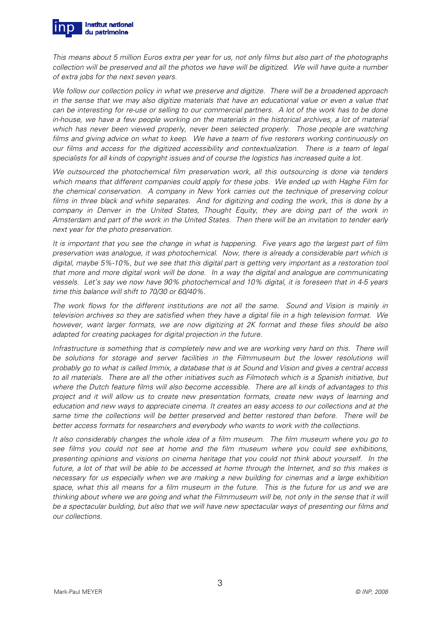

This means about 5 million Euros extra per year for us, not only films but also part of the photographs collection will be preserved and all the photos we have will be digitized. We will have quite a number of extra jobs for the next seven years.

We follow our collection policy in what we preserve and digitize. There will be a broadened approach in the sense that we may also digitize materials that have an educational value or even a value that can be interesting for re-use or selling to our commercial partners. A lot of the work has to be done in-house, we have a few people working on the materials in the historical archives, a lot of material which has never been viewed properly, never been selected properly. Those people are watching films and giving advice on what to keep. We have a team of five restorers working continuously on our films and access for the digitized accessibility and contextualization. There is a team of legal specialists for all kinds of copyright issues and of course the logistics has increased quite a lot.

We outsourced the photochemical film preservation work, all this outsourcing is done via tenders which means that different companies could apply for these jobs. We ended up with Haghe Film for the chemical conservation. A company in New York carries out the technique of preserving colour films in three black and white separates. And for digitizing and coding the work, this is done by a company in Denver in the United States, Thought Equity, they are doing part of the work in Amsterdam and part of the work in the United States. Then there will be an invitation to tender early next year for the photo preservation.

It is important that you see the change in what is happening. Five years ago the largest part of film preservation was analogue, it was photochemical. Now, there is already a considerable part which is digital, maybe 5%-10%, but we see that this digital part is getting very important as a restoration tool that more and more digital work will be done. In a way the digital and analogue are communicating vessels. Let's say we now have 90% photochemical and 10% digital, it is foreseen that in 4-5 years time this balance will shift to 70/30 or 60/40%.

The work flows for the different institutions are not all the same. Sound and Vision is mainly in television archives so they are satisfied when they have a digital file in a high television format. We however, want larger formats, we are now digitizing at 2K format and these files should be also adapted for creating packages for digital projection in the future.

Infrastructure is something that is completely new and we are working very hard on this. There will be solutions for storage and server facilities in the Filmmuseum but the lower resolutions will probably go to what is called Immix, a database that is at Sound and Vision and gives a central access to all materials. There are all the other initiatives such as Filmotech which is a Spanish initiative, but where the Dutch feature films will also become accessible. There are all kinds of advantages to this project and it will allow us to create new presentation formats, create new ways of learning and education and new ways to appreciate cinema. It creates an easy access to our collections and at the same time the collections will be better preserved and better restored than before. There will be better access formats for researchers and everybody who wants to work with the collections.

It also considerably changes the whole idea of a film museum. The film museum where you go to see films you could not see at home and the film museum where you could see exhibitions, presenting opinions and visions on cinema heritage that you could not think about yourself. In the future, a lot of that will be able to be accessed at home through the Internet, and so this makes is necessary for us especially when we are making a new building for cinemas and a large exhibition space, what this all means for a film museum in the future. This is the future for us and we are thinking about where we are going and what the Filmmuseum will be, not only in the sense that it will be a spectacular building, but also that we will have new spectacular ways of presenting our films and our collections.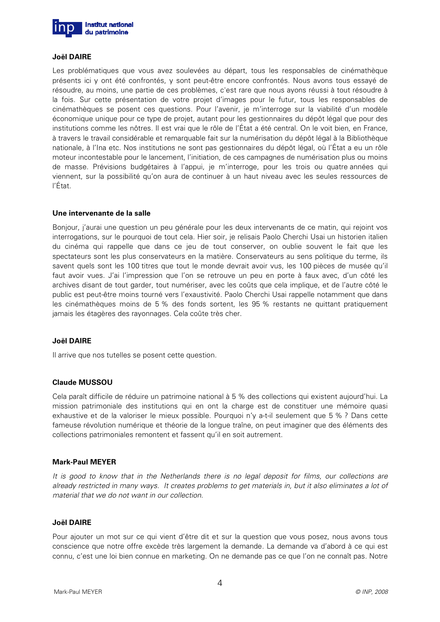

#### **Joël DAIRE**

Les problématiques que vous avez soulevées au départ, tous les responsables de cinémathèque présents ici y ont été confrontés, y sont peut-être encore confrontés. Nous avons tous essayé de résoudre, au moins, une partie de ces problèmes, c'est rare que nous ayons réussi à tout résoudre à la fois. Sur cette présentation de votre projet d'images pour le futur, tous les responsables de cinémathèques se posent ces questions. Pour l'avenir, je m'interroge sur la viabilité d'un modèle économique unique pour ce type de projet, autant pour les gestionnaires du dépôt légal que pour des institutions comme les nôtres. Il est vrai que le rôle de l'État a été central. On le voit bien, en France, à travers le travail considérable et remarquable fait sur la numérisation du dépôt légal à la Bibliothèque nationale, à l'Ina etc. Nos institutions ne sont pas gestionnaires du dépôt légal, où l'État a eu un rôle moteur incontestable pour le lancement, l'initiation, de ces campagnes de numérisation plus ou moins de masse. Prévisions budgétaires à l'appui, je m'interroge, pour les trois ou quatre années qui viennent, sur la possibilité qu'on aura de continuer à un haut niveau avec les seules ressources de l'État.

#### **Une intervenante de la salle**

Bonjour, j'aurai une question un peu générale pour les deux intervenants de ce matin, qui rejoint vos interrogations, sur le pourquoi de tout cela. Hier soir, je relisais Paolo Cherchi Usai un historien italien du cinéma qui rappelle que dans ce jeu de tout conserver, on oublie souvent le fait que les spectateurs sont les plus conservateurs en la matière. Conservateurs au sens politique du terme, ils savent quels sont les 100 titres que tout le monde devrait avoir vus, les 100 pièces de musée qu'il faut avoir vues. J'ai l'impression que l'on se retrouve un peu en porte à faux avec, d'un côté les archives disant de tout garder, tout numériser, avec les coûts que cela implique, et de l'autre côté le public est peut-être moins tourné vers l'exaustivité. Paolo Cherchi Usai rappelle notamment que dans les cinémathèques moins de 5 % des fonds sortent, les 95 % restants ne quittant pratiquement jamais les étagères des rayonnages. Cela coûte très cher.

## **Joël DAIRE**

Il arrive que nos tutelles se posent cette question.

#### **Claude MUSSOU**

Cela paraît difficile de réduire un patrimoine national à 5 % des collections qui existent aujourd'hui. La mission patrimoniale des institutions qui en ont la charge est de constituer une mémoire quasi exhaustive et de la valoriser le mieux possible. Pourquoi n'y a-t-il seulement que 5 % ? Dans cette fameuse révolution numérique et théorie de la longue traîne, on peut imaginer que des éléments des collections patrimoniales remontent et fassent qu'il en soit autrement.

## **Mark-Paul MEYER**

It is good to know that in the Netherlands there is no legal deposit for films, our collections are already restricted in many ways. It creates problems to get materials in, but it also eliminates a lot of material that we do not want in our collection.

#### **Joël DAIRE**

Pour ajouter un mot sur ce qui vient d'être dit et sur la question que vous posez, nous avons tous conscience que notre offre excède très largement la demande. La demande va d'abord à ce qui est connu, c'est une loi bien connue en marketing. On ne demande pas ce que l'on ne connaît pas. Notre